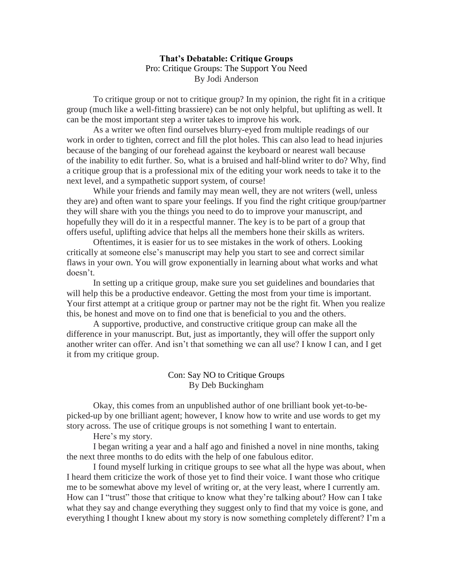## **That's Debatable: Critique Groups** Pro: Critique Groups: The Support You Need By Jodi Anderson

To critique group or not to critique group? In my opinion, the right fit in a critique group (much like a well-fitting brassiere) can be not only helpful, but uplifting as well. It can be the most important step a writer takes to improve his work.

As a writer we often find ourselves blurry-eyed from multiple readings of our work in order to tighten, correct and fill the plot holes. This can also lead to head injuries because of the banging of our forehead against the keyboard or nearest wall because of the inability to edit further. So, what is a bruised and half-blind writer to do? Why, find a critique group that is a professional mix of the editing your work needs to take it to the next level, and a sympathetic support system, of course!

While your friends and family may mean well, they are not writers (well, unless they are) and often want to spare your feelings. If you find the right critique group/partner they will share with you the things you need to do to improve your manuscript, and hopefully they will do it in a respectful manner. The key is to be part of a group that offers useful, uplifting advice that helps all the members hone their skills as writers.

Oftentimes, it is easier for us to see mistakes in the work of others. Looking critically at someone else's manuscript may help you start to see and correct similar flaws in your own. You will grow exponentially in learning about what works and what doesn't.

In setting up a critique group, make sure you set guidelines and boundaries that will help this be a productive endeavor. Getting the most from your time is important. Your first attempt at a critique group or partner may not be the right fit. When you realize this, be honest and move on to find one that is beneficial to you and the others.

A supportive, productive, and constructive critique group can make all the difference in your manuscript. But, just as importantly, they will offer the support only another writer can offer. And isn't that something we can all use? I know I can, and I get it from my critique group.

## Con: Say NO to Critique Groups By Deb Buckingham

Okay, this comes from an unpublished author of one brilliant book yet-to-bepicked-up by one brilliant agent; however, I know how to write and use words to get my story across. The use of critique groups is not something I want to entertain.

Here's my story.

I began writing a year and a half ago and finished a novel in nine months, taking the next three months to do edits with the help of one fabulous editor.

I found myself lurking in critique groups to see what all the hype was about, when I heard them criticize the work of those yet to find their voice. I want those who critique me to be somewhat above my level of writing or, at the very least, where I currently am. How can I "trust" those that critique to know what they're talking about? How can I take what they say and change everything they suggest only to find that my voice is gone, and everything I thought I knew about my story is now something completely different? I'm a